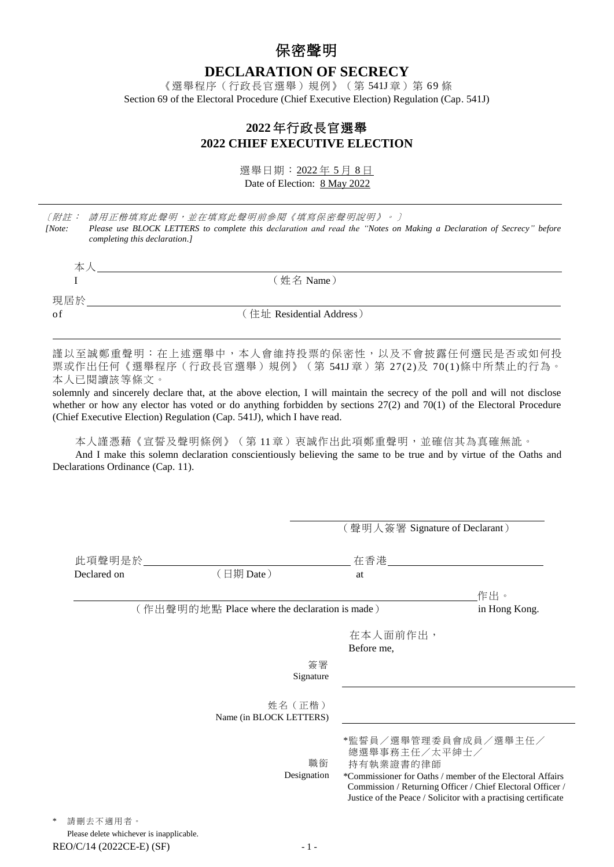## 保密聲明

**DECLARATION OF SECRECY**

《選舉程序(行政長官選舉)規例》(第 541J章)第 69 條 Section 69 of the Electoral Procedure (Chief Executive Election) Regulation (Cap. 541J)

## **2022** 年行政長官選舉 **2022 CHIEF EXECUTIVE ELECTION**

選舉日期:2022 年 5 月 8 日 Date of Election: 8 May 2022

| 〔附註:   | 請用正楷填寫此聲明,並在填寫此聲明前參閱《填寫保密聲明說明》。〕                                                                                     |
|--------|----------------------------------------------------------------------------------------------------------------------|
| [Note: | Please use BLOCK LETTERS to complete this declaration and read the "Notes on Making a Declaration of Secrecy" before |
|        | completing this declaration.]                                                                                        |
|        |                                                                                                                      |
| 本人     |                                                                                                                      |
|        | (姓名 Name)                                                                                                            |
|        |                                                                                                                      |
| 現居於    |                                                                                                                      |
| of     | (住址 Residential Address)                                                                                             |
|        |                                                                                                                      |
|        |                                                                                                                      |

謹以至誠鄭重聲明:在上述選舉中,本人會維持投票的保密性,以及不會披露任何選民是否或如何投 票或作出任何《選舉程序(行政長官選舉)規例》(第 541J 章)第 27(2)及 70(1)條中所禁止的行為。 本人已閱讀該等條文。

solemnly and sincerely declare that, at the above election, I will maintain the secrecy of the poll and will not disclose whether or how any elector has voted or do anything forbidden by sections 27(2) and 70(1) of the Electoral Procedure (Chief Executive Election) Regulation (Cap. 541J), which I have read.

本人謹憑藉《宣誓及聲明條例》(第 11 章)衷誠作出此項鄭重聲明,並確信其為真確無訛。

And I make this solemn declaration conscientiously believing the same to be true and by virtue of the Oaths and Declarations Ordinance (Cap. 11).

|                                                      |                                    | (聲明人簽署 Signature of Declarant)                                                                                                                                                                                                                  |               |
|------------------------------------------------------|------------------------------------|-------------------------------------------------------------------------------------------------------------------------------------------------------------------------------------------------------------------------------------------------|---------------|
| 此項聲明是於___________                                    |                                    |                                                                                                                                                                                                                                                 |               |
| Declared on                                          | (日期 Date)                          | at                                                                                                                                                                                                                                              |               |
|                                                      |                                    |                                                                                                                                                                                                                                                 | 作出。           |
| (作出聲明的地點 Place where the declaration is made)        |                                    |                                                                                                                                                                                                                                                 | in Hong Kong. |
|                                                      |                                    | 在本人面前作出,<br>Before me,                                                                                                                                                                                                                          |               |
|                                                      | 簽署<br>Signature                    |                                                                                                                                                                                                                                                 |               |
|                                                      | 姓名 (正楷)<br>Name (in BLOCK LETTERS) |                                                                                                                                                                                                                                                 |               |
|                                                      | 職銜<br>Designation                  | *監誓員/選舉管理委員會成員/選舉主任/<br>總選舉事務主任/太平紳士/<br>持有執業證書的律師<br>*Commissioner for Oaths / member of the Electoral Affairs<br>Commission / Returning Officer / Chief Electoral Officer /<br>Justice of the Peace / Solicitor with a practising certificate |               |
| 請刪去不適用者。<br>Please delete whichever is inapplicable. |                                    |                                                                                                                                                                                                                                                 |               |

### $REO/C/14$  (2022CE-E) (SF)  $-1$  -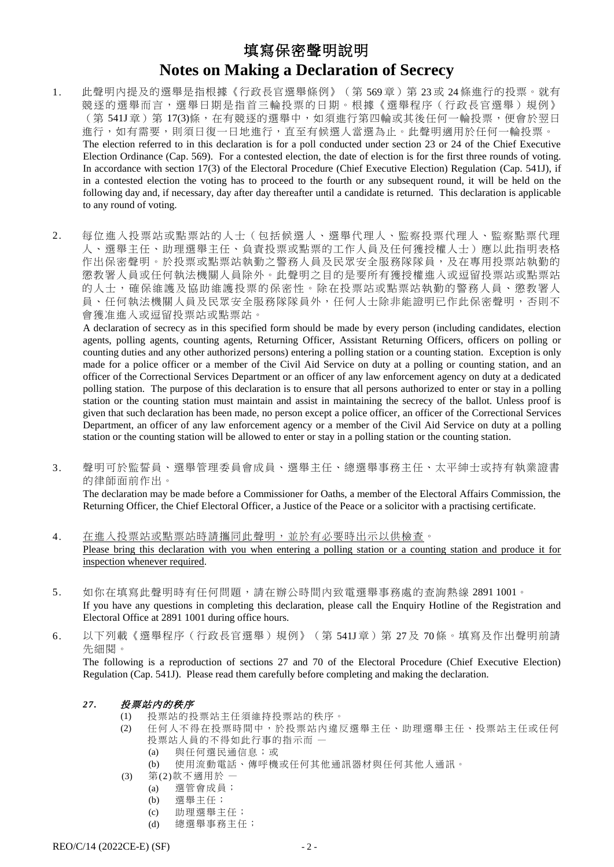# 填寫保密聲明說明 **Notes on Making a Declaration of Secrecy**

- 1. 此聲明內提及的選舉是指根據《行政長官選舉條例》(第 569 章)第 23 或 24 條進行的投票。就有 競逐的選舉而言,選舉日期是指首三輪投票的日期。根據《選舉程序(行政長官選舉)規例》 (第 541J 章) 第 17(3)條,在有競逐的選舉中,如須進行第四輪或其後任何一輪投票,便會於翌日 進行,如有需要,則須日復一日地進行,直至有候選人當選為止。此聲明適用於任何一輪投票。 The election referred to in this declaration is for a poll conducted under section 23 or 24 of the Chief Executive Election Ordinance (Cap. 569). For a contested election, the date of election is for the first three rounds of voting. In accordance with section 17(3) of the Electoral Procedure (Chief Executive Election) Regulation (Cap. 541J), if in a contested election the voting has to proceed to the fourth or any subsequent round, it will be held on the following day and, if necessary, day after day thereafter until a candidate is returned. This declaration is applicable to any round of voting.
- 2. 每位進入投票站或點票站的人士(包括候選人、選舉代理人、監察投票代理人、監察點票代理 人、選舉主任、助理選舉主任、負責投票或點票的工作人員及任何獲授權人士)應以此指明表格 作出保密聲明。於投票或點票站執勤之警務人員及民眾安全服務隊隊員,及在專用投票站執勤的 懲教署人員或任何執法機關人員除外。此聲明之目的是要所有獲授權進入或逗留投票站或點票站 的人士,確保維護及協助維護投票的保密性。除在投票站或點票站執勤的警務人員、懲教署人 員、任何執法機關人員及民眾安全服務隊隊員外,任何人士除非能證明已作此保密聲明,否則不 會獲准進入或逗留投票站或點票站。

A declaration of secrecy as in this specified form should be made by every person (including candidates, election agents, polling agents, counting agents, Returning Officer, Assistant Returning Officers, officers on polling or counting duties and any other authorized persons) entering a polling station or a counting station. Exception is only made for a police officer or a member of the Civil Aid Service on duty at a polling or counting station, and an officer of the Correctional Services Department or an officer of any law enforcement agency on duty at a dedicated polling station. The purpose of this declaration is to ensure that all persons authorized to enter or stay in a polling station or the counting station must maintain and assist in maintaining the secrecy of the ballot. Unless proof is given that such declaration has been made, no person except a police officer, an officer of the Correctional Services Department, an officer of any law enforcement agency or a member of the Civil Aid Service on duty at a polling station or the counting station will be allowed to enter or stay in a polling station or the counting station.

3. 聲明可於監誓員、選舉管理委員會成員、選舉主任、總選舉事務主任、太平紳士或持有執業證書 的律師面前作出。

The declaration may be made before a Commissioner for Oaths, a member of the Electoral Affairs Commission, the Returning Officer, the Chief Electoral Officer, a Justice of the Peace or a solicitor with a practising certificate.

- 4. 在進入投票站或點票站時請攜同此聲明,並於有必要時出示以供檢查。 Please bring this declaration with you when entering a polling station or a counting station and produce it for inspection whenever required.
- 5. 如你在填寫此聲明時有任何問題,請在辦公時間內致電選舉事務處的查詢熱線 2891 1001。 If you have any questions in completing this declaration, please call the Enquiry Hotline of the Registration and Electoral Office at 2891 1001 during office hours.
- 6. 以下列載《選舉程序(行政長官選舉)規例》(第 541J 章)第 27 及 70 條。填寫及作出聲明前請 先細閱。

The following is a reproduction of sections 27 and 70 of the Electoral Procedure (Chief Executive Election) Regulation (Cap. 541J). Please read them carefully before completing and making the declaration.

- *27.* 投票站內的秩序
	- (1) 投票站的投票站主任須維持投票站的秩序。
	- (2) 任何人不得在投票時間中,於投票站內違反選舉主任、助理選舉主任、投票站主任或任何 投票站人員的不得如此行事的指示而 一
		- (a) 與任何選民通信息;或
		- (b) 使用流動電話、傳呼機或任何其他通訊器材與任何其他人通訊。
	- (3) 第(2)款不適用於
		- (a) 選管會成員;
		- (b) 選舉主任;
		- (c) 助理選舉主任;
		- (d) 總選舉事務主任;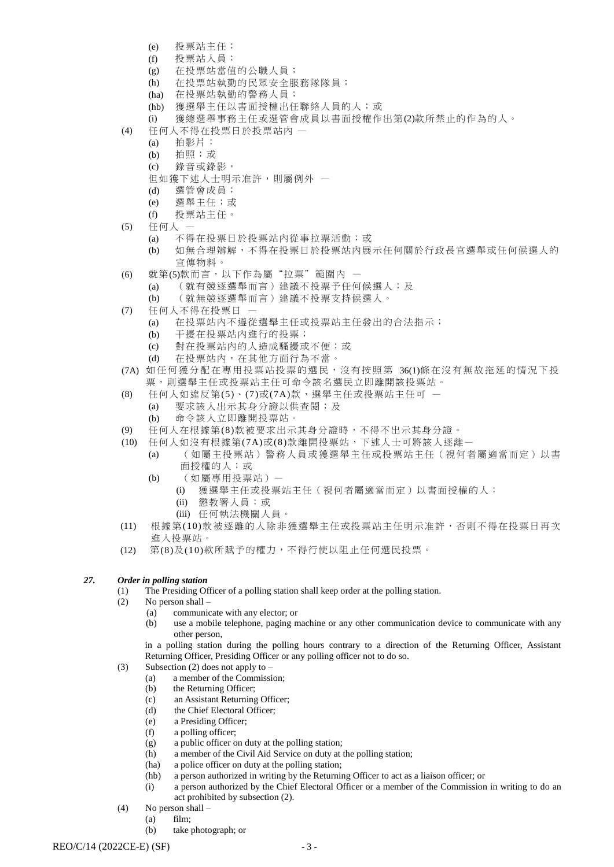- (e) 投票站主任;
- (f) 投票站人員;
- (g) 在投票站當值的公職人員;
- (h) 在投票站執勤的民眾安全服務隊隊員;
- (ha) 在投票站執勤的警務人員;
- (hb) 獲選舉主任以書面授權出任聯絡人員的人;或
- (i) 獲總選舉事務主任或選管會成員以書面授權作出第(2)款所禁止的作為的人。
- (4) 任何人不得在投票日於投票站內
	- (a) 拍影片;
	- (b) 拍照;或
	- (c) 錄音或錄影,
	- 但如獲下述人士明示准許,則屬例外 一
	- (d) 選管會成員;
	- (e) 選舉主任;或
	- (f) 投票站主任。
- (5) 任何人
	- (a) 不得在投票日於投票站內從事拉票活動;或
	- (b) 如無合理辯解,不得在投票日於投票站內展示任何關於行政長官選舉或任何候選人的 宣傳物料。
- (6) 就第(5)款而言,以下作為屬"拉票"範圍內
	- (a) (就有競逐選舉而言)建議不投票予任何候選人;及
		- (b) (就無競逐選舉而言)建議不投票支持候選人。
- (7) 任何人不得在投票日
	- (a) 在投票站內不遵從選舉主任或投票站主任發出的合法指示;
	- (b) 干擾在投票站內進行的投票;
	- (c) 對在投票站內的人造成騷擾或不便;或
	- (d) 在投票站內,在其他方面行為不當。
- (7A) 如 任 何 獲 分 配 在專用投票站投票的選民,沒有按照第 36(1)條在沒有無故拖延的情況下投 票,則選舉主任或投票站主任可命令該名選民立即離開該投票站。
- (8) 任何人如違反第(5)、(7)或(7A)款,選舉主任或投票站主任可 —
- (a) 要求該人出示其身分證以供查閱;及 (b) 命令該人立即離開投票站。
- (9) 任何人在根據第(8)款被要求出示其身分證時,不得不出示其身分證。
- (10) 任何人如沒有根據第(7A)或(8)款離開投票站,下述人士可將該人逐離。
	- (a) (如屬主投票站)警務人員或獲選舉主任或投票站主任(視何者屬適當而定)以書 面授權的人;或
	- (b) (如屬專用投票站)—
		- (i) 獲選舉主任或投票站主任(視何者屬適當而定)以書面授權的人;
		- (ii) 懲教署人員;或
		- (iii) 任何執法機關人員。
- (11) 根據第(10)款被逐離的人除非獲選舉主任或投票站主任明示准許,否則不得在投票日再次 進入投票站。
- (12) 第(8)及(10)款所賦予的權力,不得行使以阻止任何選民投票。

#### *27. Order in polling station*

- (1) The Presiding Officer of a polling station shall keep order at the polling station.
- (2) No person shall
	- (a) communicate with any elector; or
	- (b) use a mobile telephone, paging machine or any other communication device to communicate with any other person,
	- in a polling station during the polling hours contrary to a direction of the Returning Officer, Assistant Returning Officer, Presiding Officer or any polling officer not to do so.
- (3) Subsection (2) does not apply to
	- (a) a member of the Commission;
		- (b) the Returning Officer;
		- (c) an Assistant Returning Officer;
		- (d) the Chief Electoral Officer;
		- (e) a Presiding Officer;
		- (f) a polling officer;
		- (g) a public officer on duty at the polling station;
	- (h) a member of the Civil Aid Service on duty at the polling station;
	- (ha) a police officer on duty at the polling station;
	- (hb) a person authorized in writing by the Returning Officer to act as a liaison officer; or
	- (i) a person authorized by the Chief Electoral Officer or a member of the Commission in writing to do an act prohibited by subsection (2).
- (4) No person shall
	- (a) film;
	- (b) take photograph; or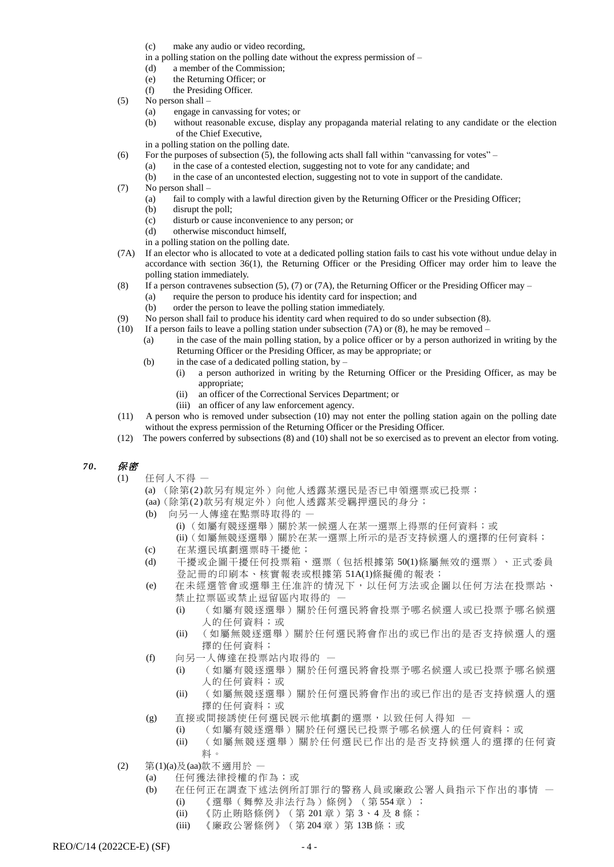- (c) make any audio or video recording,
- in a polling station on the polling date without the express permission of –
- (d) a member of the Commission;
- (e) the Returning Officer; or
- (f) the Presiding Officer.
- (5) No person shall
	- (a) engage in canvassing for votes; or
	- (b) without reasonable excuse, display any propaganda material relating to any candidate or the election of the Chief Executive,
	- in a polling station on the polling date.
- (6) For the purposes of subsection (5), the following acts shall fall within "canvassing for votes"
	- (a) in the case of a contested election, suggesting not to vote for any candidate; and
	- (b) in the case of an uncontested election, suggesting not to vote in support of the candidate.
- (7) No person shall
	- (a) fail to comply with a lawful direction given by the Returning Officer or the Presiding Officer;
	- (b) disrupt the poll;
	- (c) disturb or cause inconvenience to any person; or
	- (d) otherwise misconduct himself,
	- in a polling station on the polling date.
- (7A) If an elector who is allocated to vote at a dedicated polling station fails to cast his vote without undue delay in accordance with section 36(1), the Returning Officer or the Presiding Officer may order him to leave the polling station immediately.
- (8) If a person contravenes subsection (5), (7) or (7A), the Returning Officer or the Presiding Officer may
	- (a) require the person to produce his identity card for inspection; and
	- (b) order the person to leave the polling station immediately.
- (9) No person shall fail to produce his identity card when required to do so under subsection (8).
- (10) If a person fails to leave a polling station under subsection (7A) or (8), he may be removed
	- (a) in the case of the main polling station, by a police officer or by a person authorized in writing by the Returning Officer or the Presiding Officer, as may be appropriate; or
	- (b) in the case of a dedicated polling station, by  $-$ 
		- (i) a person authorized in writing by the Returning Officer or the Presiding Officer, as may be appropriate;
			- (ii) an officer of the Correctional Services Department; or
			- (iii) an officer of any law enforcement agency.
- (11) A person who is removed under subsection (10) may not enter the polling station again on the polling date without the express permission of the Returning Officer or the Presiding Officer.
- (12) The powers conferred by subsections (8) and (10) shall not be so exercised as to prevent an elector from voting.

### *70.* 保密

- (1) 任何人不得
	- (a) (除第(2)款另有規定外)向他人透露某選民是否已申領選票或已投票;
	- (aa)(除第(2)款另有規定外)向他人透露某受羈押選民的身分;
	- (b) 向另一人傳達在點票時取得的
		- (i) (如屬有競逐選舉)關於某一候選人在某一選票上得票的任何資料;或
		- (ii)(如屬無競逐選舉)關於在某一選票上所示的是否支持候選人的選擇的任何資料;
	- (c) 在某選民填劃選票時干擾他;
	- (d) 干擾或企圖干擾任何投票箱、選票(包括根據第 50(1)條屬無效的選票)、正式委員 登記冊的印刷本、核實報表或根據第 51A(1)條擬備的報表;
	- (e) 在未經選管會或選舉主任准許的情況下,以任何方法或企圖以任何方法在投票站、 禁止拉票區或禁止逗留區內取得的
		- (i) (如屬有競逐選舉)關於任何選民將會投票予哪名候選人或已投票予哪名候選 人的任何資料;或
		- (ii) (如屬無競逐選舉)關於任何選民將會作出的或已作出的是否支持候選人的選 擇的任何資料;
	- (f) 向另一人傳達在投票站內取得的
		- (i) (如屬有競逐選舉)關於任何選民將會投票予哪名候選人或已投票予哪名候選 人的任何資料;或
		- (ii) (如屬無競逐選舉)關於任何選民將會作出的或已作出的是否支持候選人的選 擇的任何資料;或
	- (g) 直接或間接誘使任何選民展示他填劃的選票,以致任何人得知
		- (i) (如屬有競逐選舉)關於任何選民已投票予哪名候選人的任何資料;或
			- (ii) (如屬無競逐選舉)關於任何選民已作出的是否支持候選人的選擇的任何資 料。
- (2) 第(1)(a)及(aa)款不適用於
	- (a) 任何獲法律授權的作為;或
	- (b) 在任何正在調查下述法例所訂罪行的警務人員或廉政公署人員指示下作出的事情
		- (i) 《選舉(舞弊及非法行為)條例》(第554章); (ii) 《防止賄賂條例》(第 201 章) 第 3、4 及 8 條;
		- (iii) 《廉政公署條例》(第 204章)第 13B條;或